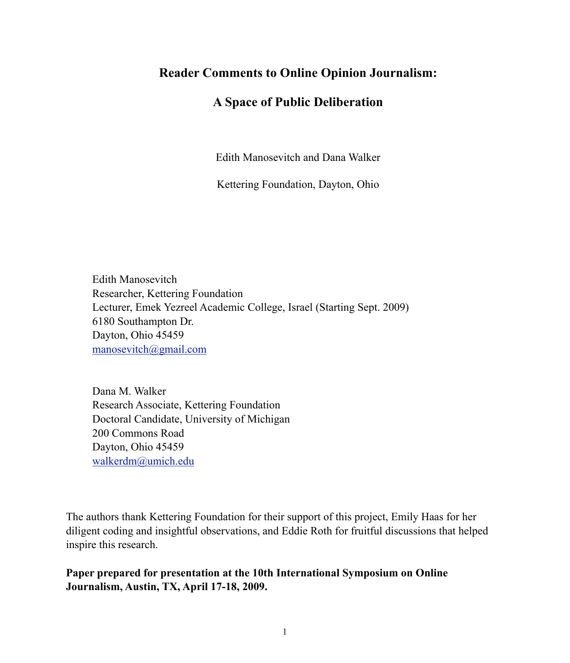# **Reader Comments to Online Opinion Journalism:**

# **A Space of Public Deliberation**

Edith Manosevitch and Dana Walker

Kettering Foundation, Dayton, Ohio

Edith Manosevitch Researcher, Kettering Foundation Lecturer, Emek Yezreel Academic College, Israel (Starting Sept. 2009) 6180 Southampton Dr. Dayton, Ohio 45459 [manosevitch@gmail.com](mailto:manosevitch@gmail.com)

Dana M. Walker Research Associate, Kettering Foundation Doctoral Candidate, University of Michigan 200 Commons Road Dayton, Ohio 45459 [walkerdm@umich.edu](mailto:danedanes@gmail.com)

The authors thank Kettering Foundation for their support of this project, Emily Haas for her diligent coding and insightful observations, and Eddie Roth for fruitful discussions that helped inspire this research.

**Paper prepared for presentation at the 10th International Symposium on Online Journalism, Austin, TX, April 17-18, 2009.**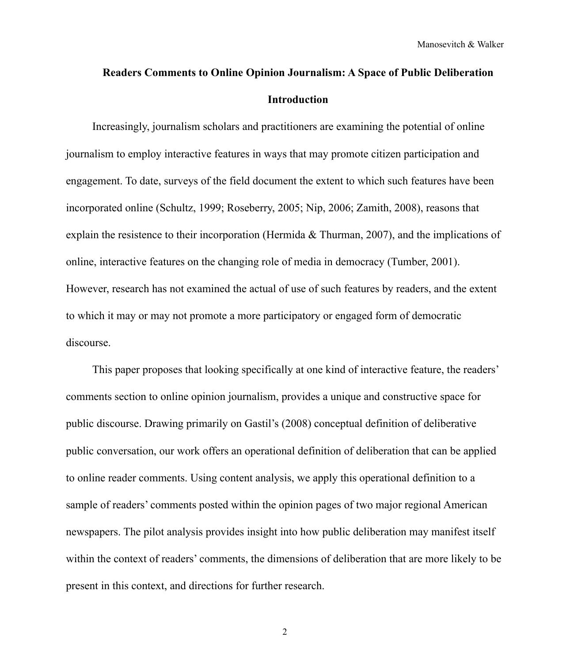# **Readers Comments to Online Opinion Journalism: A Space of Public Deliberation Introduction**

Increasingly, journalism scholars and practitioners are examining the potential of online journalism to employ interactive features in ways that may promote citizen participation and engagement. To date, surveys of the field document the extent to which such features have been incorporated online (Schultz, 1999; Roseberry, 2005; Nip, 2006; Zamith, 2008), reasons that explain the resistence to their incorporation (Hermida & Thurman, 2007), and the implications of online, interactive features on the changing role of media in democracy (Tumber, 2001). However, research has not examined the actual of use of such features by readers, and the extent to which it may or may not promote a more participatory or engaged form of democratic discourse.

This paper proposes that looking specifically at one kind of interactive feature, the readers' comments section to online opinion journalism, provides a unique and constructive space for public discourse. Drawing primarily on Gastil's (2008) conceptual definition of deliberative public conversation, our work offers an operational definition of deliberation that can be applied to online reader comments. Using content analysis, we apply this operational definition to a sample of readers' comments posted within the opinion pages of two major regional American newspapers. The pilot analysis provides insight into how public deliberation may manifest itself within the context of readers' comments, the dimensions of deliberation that are more likely to be present in this context, and directions for further research.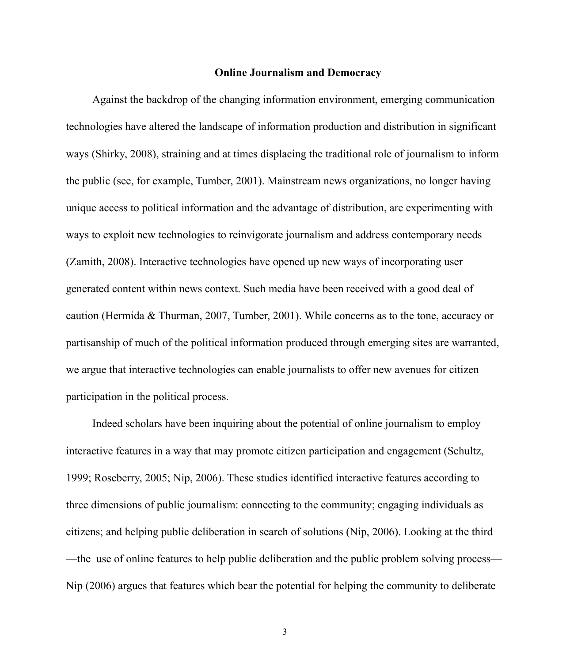#### **Online Journalism and Democracy**

Against the backdrop of the changing information environment, emerging communication technologies have altered the landscape of information production and distribution in significant ways (Shirky, 2008), straining and at times displacing the traditional role of journalism to inform the public (see, for example, Tumber, 2001). Mainstream news organizations, no longer having unique access to political information and the advantage of distribution, are experimenting with ways to exploit new technologies to reinvigorate journalism and address contemporary needs (Zamith, 2008). Interactive technologies have opened up new ways of incorporating user generated content within news context. Such media have been received with a good deal of caution (Hermida & Thurman, 2007, Tumber, 2001). While concerns as to the tone, accuracy or partisanship of much of the political information produced through emerging sites are warranted, we argue that interactive technologies can enable journalists to offer new avenues for citizen participation in the political process.

Indeed scholars have been inquiring about the potential of online journalism to employ interactive features in a way that may promote citizen participation and engagement (Schultz, 1999; Roseberry, 2005; Nip, 2006). These studies identified interactive features according to three dimensions of public journalism: connecting to the community; engaging individuals as citizens; and helping public deliberation in search of solutions (Nip, 2006). Looking at the third —the use of online features to help public deliberation and the public problem solving process— Nip (2006) argues that features which bear the potential for helping the community to deliberate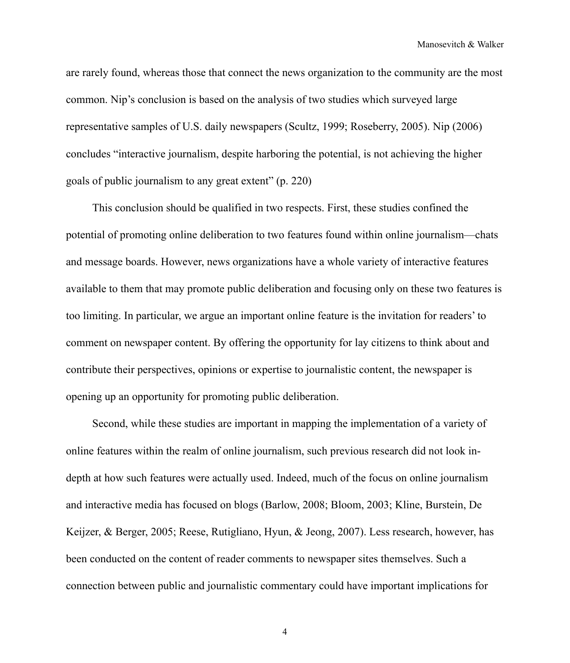Manosevitch & Walker

are rarely found, whereas those that connect the news organization to the community are the most common. Nip's conclusion is based on the analysis of two studies which surveyed large representative samples of U.S. daily newspapers (Scultz, 1999; Roseberry, 2005). Nip (2006) concludes "interactive journalism, despite harboring the potential, is not achieving the higher goals of public journalism to any great extent" (p. 220)

This conclusion should be qualified in two respects. First, these studies confined the potential of promoting online deliberation to two features found within online journalism—chats and message boards. However, news organizations have a whole variety of interactive features available to them that may promote public deliberation and focusing only on these two features is too limiting. In particular, we argue an important online feature is the invitation for readers' to comment on newspaper content. By offering the opportunity for lay citizens to think about and contribute their perspectives, opinions or expertise to journalistic content, the newspaper is opening up an opportunity for promoting public deliberation.

Second, while these studies are important in mapping the implementation of a variety of online features within the realm of online journalism, such previous research did not look indepth at how such features were actually used. Indeed, much of the focus on online journalism and interactive media has focused on blogs (Barlow, 2008; Bloom, 2003; Kline, Burstein, De Keijzer, & Berger, 2005; Reese, Rutigliano, Hyun, & Jeong, 2007). Less research, however, has been conducted on the content of reader comments to newspaper sites themselves. Such a connection between public and journalistic commentary could have important implications for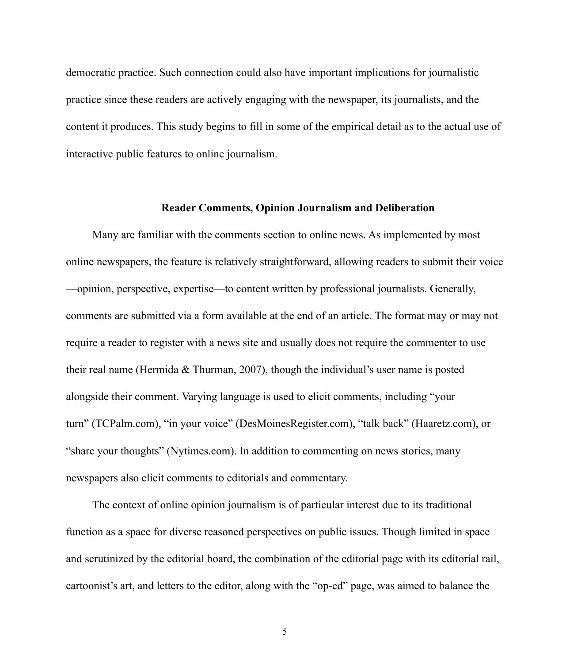democratic practice. Such connection could also have important implications for journalistic practice since these readers are actively engaging with the newspaper, its journalists, and the content it produces. This study begins to fill in some of the empirical detail as to the actual use of interactive public features to online journalism.

#### **Reader Comments, Opinion Journalism and Deliberation**

Many are familiar with the comments section to online news. As implemented by most online newspapers, the feature is relatively straightforward, allowing readers to submit their voice —opinion, perspective, expertise—to content written by professional journalists. Generally, comments are submitted via a form available at the end of an article. The format may or may not require a reader to register with a news site and usually does not require the commenter to use their real name (Hermida  $& Thurman, 2007$ ), though the individual's user name is posted alongside their comment. Varying language is used to elicit comments, including "your turn" (TCPalm.com), "in your voice" (DesMoinesRegister.com), "talk back" (Haaretz.com), or "share your thoughts" (Nytimes.com). In addition to commenting on news stories, many newspapers also elicit comments to editorials and commentary.

The context of online opinion journalism is of particular interest due to its traditional function as a space for diverse reasoned perspectives on public issues. Though limited in space and scrutinized by the editorial board, the combination of the editorial page with its editorial rail, cartoonist's art, and letters to the editor, along with the "op-ed" page, was aimed to balance the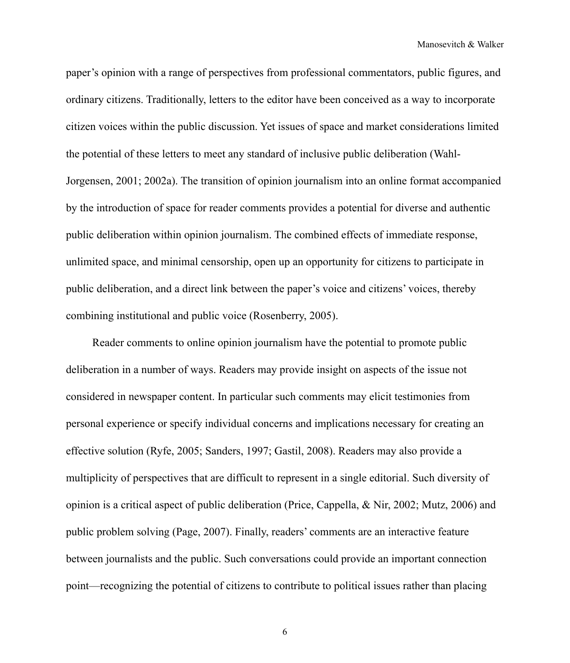paper's opinion with a range of perspectives from professional commentators, public figures, and ordinary citizens. Traditionally, letters to the editor have been conceived as a way to incorporate citizen voices within the public discussion. Yet issues of space and market considerations limited the potential of these letters to meet any standard of inclusive public deliberation (Wahl-Jorgensen, 2001; 2002a). The transition of opinion journalism into an online format accompanied by the introduction of space for reader comments provides a potential for diverse and authentic public deliberation within opinion journalism. The combined effects of immediate response, unlimited space, and minimal censorship, open up an opportunity for citizens to participate in public deliberation, and a direct link between the paper's voice and citizens' voices, thereby combining institutional and public voice (Rosenberry, 2005).

Reader comments to online opinion journalism have the potential to promote public deliberation in a number of ways. Readers may provide insight on aspects of the issue not considered in newspaper content. In particular such comments may elicit testimonies from personal experience or specify individual concerns and implications necessary for creating an effective solution (Ryfe, 2005; Sanders, 1997; Gastil, 2008). Readers may also provide a multiplicity of perspectives that are difficult to represent in a single editorial. Such diversity of opinion is a critical aspect of public deliberation (Price, Cappella, & Nir, 2002; Mutz, 2006) and public problem solving (Page, 2007). Finally, readers' comments are an interactive feature between journalists and the public. Such conversations could provide an important connection point—recognizing the potential of citizens to contribute to political issues rather than placing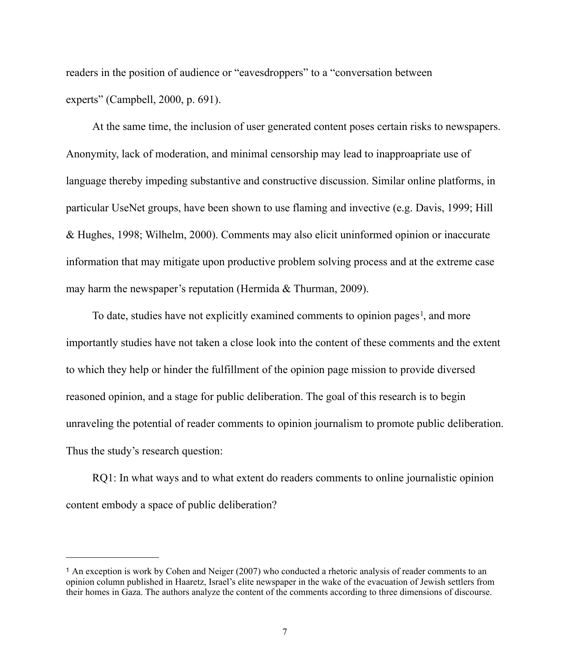readers in the position of audience or "eavesdroppers" to a "conversation between experts" (Campbell, 2000, p. 691).

At the same time, the inclusion of user generated content poses certain risks to newspapers. Anonymity, lack of moderation, and minimal censorship may lead to inapproapriate use of language thereby impeding substantive and constructive discussion. Similar online platforms, in particular UseNet groups, have been shown to use flaming and invective (e.g. Davis, 1999; Hill & Hughes, 1998; Wilhelm, 2000). Comments may also elicit uninformed opinion or inaccurate information that may mitigate upon productive problem solving process and at the extreme case may harm the newspaper's reputation (Hermida & Thurman, 2009).

To date, studies have not explicitly examined comments to opinion pages<sup>[1](#page-6-0)</sup>, and more importantly studies have not taken a close look into the content of these comments and the extent to which they help or hinder the fulfillment of the opinion page mission to provide diversed reasoned opinion, and a stage for public deliberation. The goal of this research is to begin unraveling the potential of reader comments to opinion journalism to promote public deliberation. Thus the study's research question:

RQ1: In what ways and to what extent do readers comments to online journalistic opinion content embody a space of public deliberation?

<span id="page-6-0"></span><sup>1</sup> An exception is work by Cohen and Neiger (2007) who conducted a rhetoric analysis of reader comments to an opinion column published in Haaretz, Israel's elite newspaper in the wake of the evacuation of Jewish settlers from their homes in Gaza. The authors analyze the content of the comments according to three dimensions of discourse.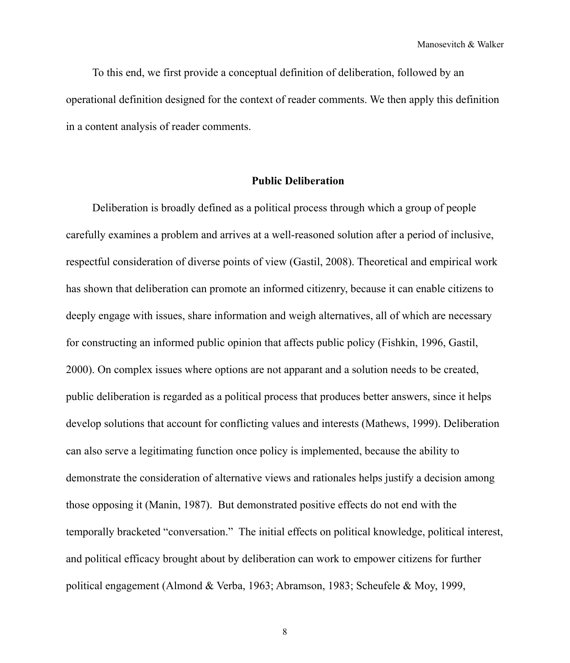Manosevitch & Walker

To this end, we first provide a conceptual definition of deliberation, followed by an operational definition designed for the context of reader comments. We then apply this definition in a content analysis of reader comments.

## **Public Deliberation**

Deliberation is broadly defined as a political process through which a group of people carefully examines a problem and arrives at a well-reasoned solution after a period of inclusive, respectful consideration of diverse points of view (Gastil, 2008). Theoretical and empirical work has shown that deliberation can promote an informed citizenry, because it can enable citizens to deeply engage with issues, share information and weigh alternatives, all of which are necessary for constructing an informed public opinion that affects public policy (Fishkin, 1996, Gastil, 2000). On complex issues where options are not apparant and a solution needs to be created, public deliberation is regarded as a political process that produces better answers, since it helps develop solutions that account for conflicting values and interests (Mathews, 1999). Deliberation can also serve a legitimating function once policy is implemented, because the ability to demonstrate the consideration of alternative views and rationales helps justify a decision among those opposing it (Manin, 1987). But demonstrated positive effects do not end with the temporally bracketed "conversation." The initial effects on political knowledge, political interest, and political efficacy brought about by deliberation can work to empower citizens for further political engagement (Almond & Verba, 1963; Abramson, 1983; Scheufele & Moy, 1999,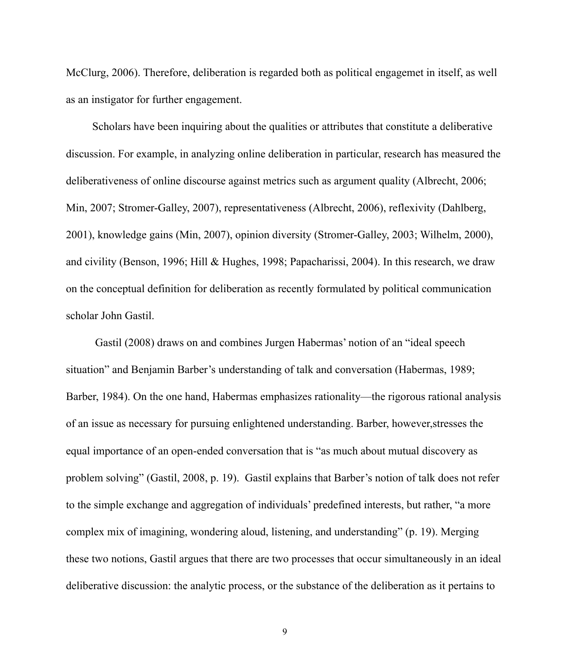McClurg, 2006). Therefore, deliberation is regarded both as political engagemet in itself, as well as an instigator for further engagement.

Scholars have been inquiring about the qualities or attributes that constitute a deliberative discussion. For example, in analyzing online deliberation in particular, research has measured the deliberativeness of online discourse against metrics such as argument quality (Albrecht, 2006; Min, 2007; Stromer-Galley, 2007), representativeness (Albrecht, 2006), reflexivity (Dahlberg, 2001), knowledge gains (Min, 2007), opinion diversity (Stromer-Galley, 2003; Wilhelm, 2000), and civility (Benson, 1996; Hill & Hughes, 1998; Papacharissi, 2004). In this research, we draw on the conceptual definition for deliberation as recently formulated by political communication scholar John Gastil.

 Gastil (2008) draws on and combines Jurgen Habermas' notion of an "ideal speech situation" and Benjamin Barber's understanding of talk and conversation (Habermas, 1989; Barber, 1984). On the one hand, Habermas emphasizes rationality—the rigorous rational analysis of an issue as necessary for pursuing enlightened understanding. Barber, however,stresses the equal importance of an open-ended conversation that is "as much about mutual discovery as problem solving" (Gastil, 2008, p. 19). Gastil explains that Barber's notion of talk does not refer to the simple exchange and aggregation of individuals' predefined interests, but rather, "a more complex mix of imagining, wondering aloud, listening, and understanding" (p. 19). Merging these two notions, Gastil argues that there are two processes that occur simultaneously in an ideal deliberative discussion: the analytic process, or the substance of the deliberation as it pertains to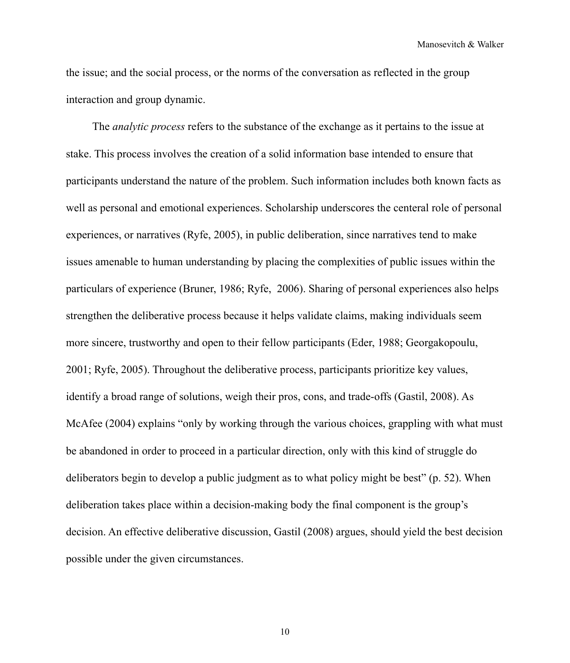Manosevitch & Walker

the issue; and the social process, or the norms of the conversation as reflected in the group interaction and group dynamic.

The *analytic process* refers to the substance of the exchange as it pertains to the issue at stake. This process involves the creation of a solid information base intended to ensure that participants understand the nature of the problem. Such information includes both known facts as well as personal and emotional experiences. Scholarship underscores the centeral role of personal experiences, or narratives (Ryfe, 2005), in public deliberation, since narratives tend to make issues amenable to human understanding by placing the complexities of public issues within the particulars of experience (Bruner, 1986; Ryfe, 2006). Sharing of personal experiences also helps strengthen the deliberative process because it helps validate claims, making individuals seem more sincere, trustworthy and open to their fellow participants (Eder, 1988; Georgakopoulu, 2001; Ryfe, 2005). Throughout the deliberative process, participants prioritize key values, identify a broad range of solutions, weigh their pros, cons, and trade-offs (Gastil, 2008). As McAfee (2004) explains "only by working through the various choices, grappling with what must be abandoned in order to proceed in a particular direction, only with this kind of struggle do deliberators begin to develop a public judgment as to what policy might be best" (p. 52). When deliberation takes place within a decision-making body the final component is the group's decision. An effective deliberative discussion, Gastil (2008) argues, should yield the best decision possible under the given circumstances.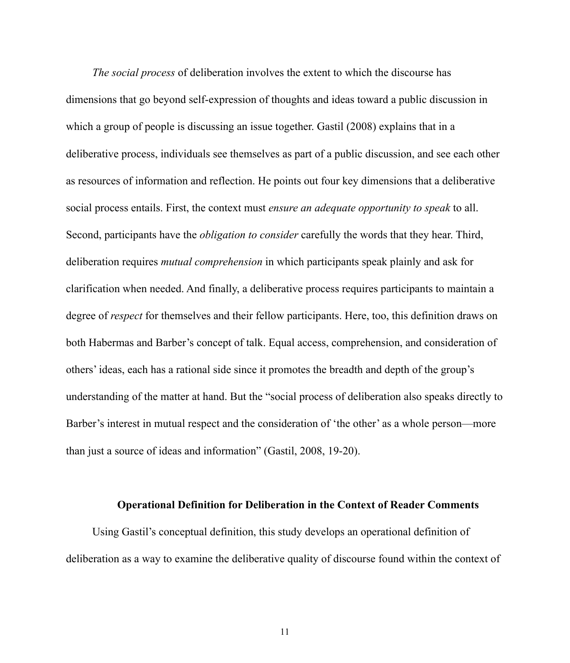*The social process* of deliberation involves the extent to which the discourse has dimensions that go beyond self-expression of thoughts and ideas toward a public discussion in which a group of people is discussing an issue together. Gastil (2008) explains that in a deliberative process, individuals see themselves as part of a public discussion, and see each other as resources of information and reflection. He points out four key dimensions that a deliberative social process entails. First, the context must *ensure an adequate opportunity to speak* to all. Second, participants have the *obligation to consider* carefully the words that they hear. Third, deliberation requires *mutual comprehension* in which participants speak plainly and ask for clarification when needed. And finally, a deliberative process requires participants to maintain a degree of *respect* for themselves and their fellow participants. Here, too, this definition draws on both Habermas and Barber's concept of talk. Equal access, comprehension, and consideration of others' ideas, each has a rational side since it promotes the breadth and depth of the group's understanding of the matter at hand. But the "social process of deliberation also speaks directly to Barber's interest in mutual respect and the consideration of 'the other' as a whole person—more than just a source of ideas and information" (Gastil, 2008, 19-20).

#### **Operational Definition for Deliberation in the Context of Reader Comments**

Using Gastil's conceptual definition, this study develops an operational definition of deliberation as a way to examine the deliberative quality of discourse found within the context of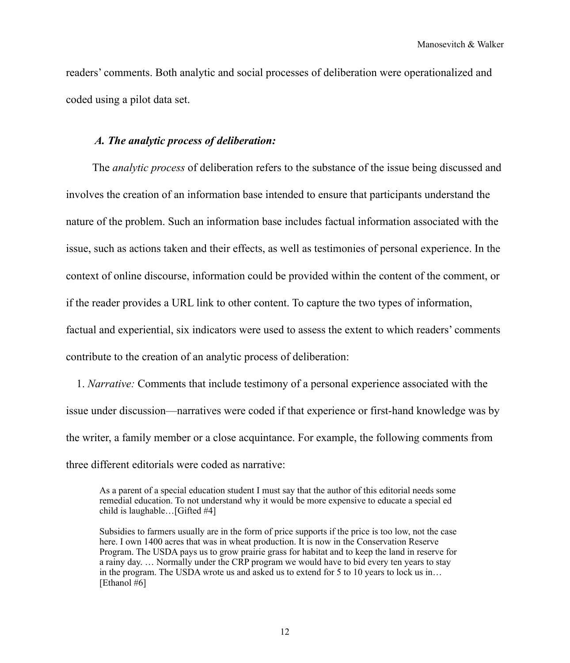readers' comments. Both analytic and social processes of deliberation were operationalized and coded using a pilot data set.

## *A. The analytic process of deliberation:*

The *analytic process* of deliberation refers to the substance of the issue being discussed and involves the creation of an information base intended to ensure that participants understand the nature of the problem. Such an information base includes factual information associated with the issue, such as actions taken and their effects, as well as testimonies of personal experience. In the context of online discourse, information could be provided within the content of the comment, or if the reader provides a URL link to other content. To capture the two types of information, factual and experiential, six indicators were used to assess the extent to which readers' comments contribute to the creation of an analytic process of deliberation:

1. *Narrative:* Comments that include testimony of a personal experience associated with the issue under discussion—narratives were coded if that experience or first-hand knowledge was by the writer, a family member or a close acquintance. For example, the following comments from three different editorials were coded as narrative:

As a parent of a special education student I must say that the author of this editorial needs some remedial education. To not understand why it would be more expensive to educate a special ed child is laughable…[Gifted #4]

Subsidies to farmers usually are in the form of price supports if the price is too low, not the case here. I own 1400 acres that was in wheat production. It is now in the Conservation Reserve Program. The USDA pays us to grow prairie grass for habitat and to keep the land in reserve for a rainy day. … Normally under the CRP program we would have to bid every ten years to stay in the program. The USDA wrote us and asked us to extend for 5 to 10 years to lock us in… [Ethanol #6]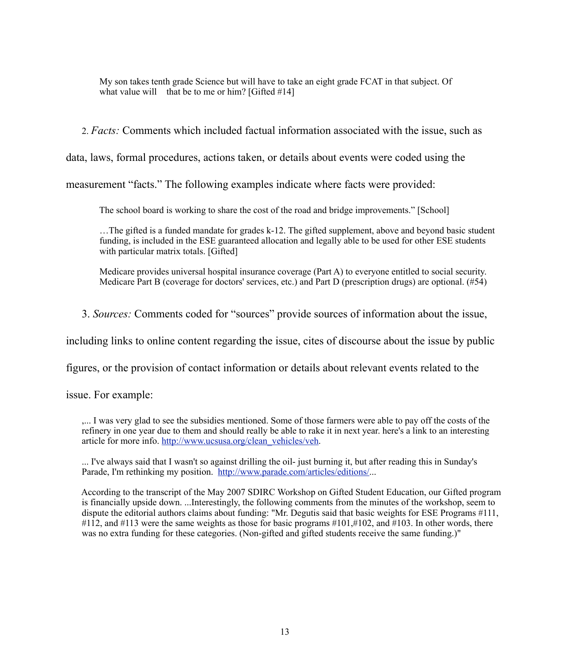My son takes tenth grade Science but will have to take an eight grade FCAT in that subject. Of what value will that be to me or him?  $[Gifted #14]$ 

2. *Facts:* Comments which included factual information associated with the issue, such as

data, laws, formal procedures, actions taken, or details about events were coded using the

measurement "facts." The following examples indicate where facts were provided:

The school board is working to share the cost of the road and bridge improvements." [School]

 …The gifted is a funded mandate for grades k-12. The gifted supplement, above and beyond basic student funding, is included in the ESE guaranteed allocation and legally able to be used for other ESE students with particular matrix totals. [Gifted]

 Medicare provides universal hospital insurance coverage (Part A) to everyone entitled to social security. Medicare Part B (coverage for doctors' services, etc.) and Part D (prescription drugs) are optional. (#54)

3. *Sources:* Comments coded for "sources" provide sources of information about the issue,

including links to online content regarding the issue, cites of discourse about the issue by public

figures, or the provision of contact information or details about relevant events related to the

issue. For example:

 ,... I was very glad to see the subsidies mentioned. Some of those farmers were able to pay off the costs of the refinery in one year due to them and should really be able to rake it in next year. here's a link to an interesting article for more info. [http://www.ucsusa.org/clean\\_vehicles/veh](http://livepage.apple.com/).

 ... I've always said that I wasn't so against drilling the oil- just burning it, but after reading this in Sunday's Parade, I'm rethinking my position. [http://www.parade.com/articles/editions/.](http://livepage.apple.com/)..

 According to the transcript of the May 2007 SDIRC Workshop on Gifted Student Education, our Gifted program is financially upside down. ...Interestingly, the following comments from the minutes of the workshop, seem to dispute the editorial authors claims about funding: "Mr. Degutis said that basic weights for ESE Programs #111, #112, and #113 were the same weights as those for basic programs #101,#102, and #103. In other words, there was no extra funding for these categories. (Non-gifted and gifted students receive the same funding.)"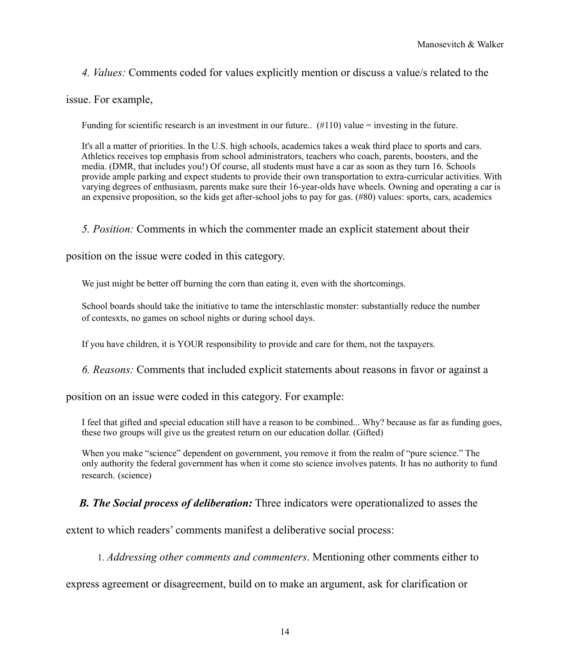*4. Values:* Comments coded for values explicitly mention or discuss a value/s related to the

issue. For example,

Funding for scientific research is an investment in our future..  $(\text{\#110})$  value = investing in the future.

 It's all a matter of priorities. In the U.S. high schools, academics takes a weak third place to sports and cars. Athletics receives top emphasis from school administrators, teachers who coach, parents, boosters, and the media. (DMR, that includes you!) Of course, all students must have a car as soon as they turn 16. Schools provide ample parking and expect students to provide their own transportation to extra-curricular activities. With varying degrees of enthusiasm, parents make sure their 16-year-olds have wheels. Owning and operating a car is an expensive proposition, so the kids get after-school jobs to pay for gas. (#80) values: sports, cars, academics

## *5. Position:* Comments in which the commenter made an explicit statement about their

position on the issue were coded in this category.

We just might be better off burning the corn than eating it, even with the shortcomings.

 School boards should take the initiative to tame the interschlastic monster: substantially reduce the number of contesxts, no games on school nights or during school days.

If you have children, it is YOUR responsibility to provide and care for them, not the taxpayers.

 *6. Reasons:* Comments that included explicit statements about reasons in favor or against a

position on an issue were coded in this category. For example:

 I feel that gifted and special education still have a reason to be combined... Why? because as far as funding goes, these two groups will give us the greatest return on our education dollar. (Gifted)

When you make "science" dependent on government, you remove it from the realm of "pure science." The only authority the federal government has when it come sto science involves patents. It has no authority to fund research. (science)

*B. The Social process of deliberation:* Three indicators were operationalized to asses the

extent to which readers' comments manifest a deliberative social process:

1. *Addressing other comments and commenters*. Mentioning other comments either to

express agreement or disagreement, build on to make an argument, ask for clarification or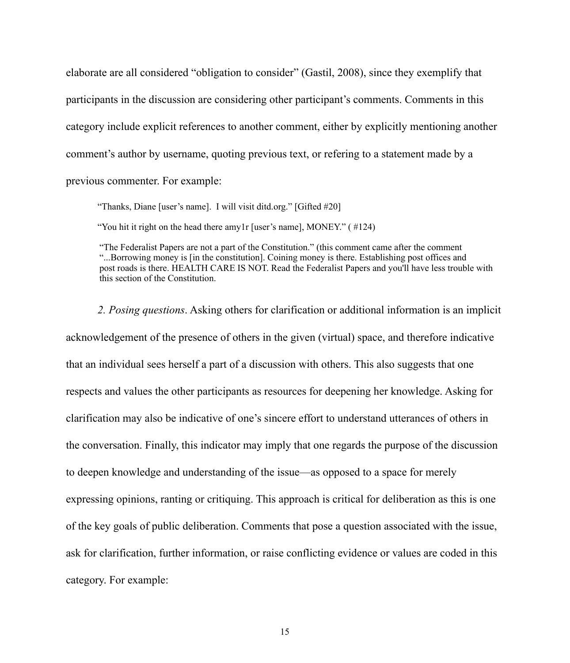elaborate are all considered "obligation to consider" (Gastil, 2008), since they exemplify that participants in the discussion are considering other participant's comments. Comments in this category include explicit references to another comment, either by explicitly mentioning another comment's author by username, quoting previous text, or refering to a statement made by a previous commenter. For example:

"Thanks, Diane [user's name]. I will visit ditd.org." [Gifted #20]

"You hit it right on the head there amy1r [user's name], MONEY." ( #124)

 "The Federalist Papers are not a part of the Constitution." (this comment came after the comment "...Borrowing money is [in the constitution]. Coining money is there. Establishing post offices and post roads is there. HEALTH CARE IS NOT. Read the Federalist Papers and you'll have less trouble with this section of the Constitution.

 *2. Posing questions*. Asking others for clarification or additional information is an implicit acknowledgement of the presence of others in the given (virtual) space, and therefore indicative that an individual sees herself a part of a discussion with others. This also suggests that one respects and values the other participants as resources for deepening her knowledge. Asking for clarification may also be indicative of one's sincere effort to understand utterances of others in the conversation. Finally, this indicator may imply that one regards the purpose of the discussion to deepen knowledge and understanding of the issue—as opposed to a space for merely expressing opinions, ranting or critiquing. This approach is critical for deliberation as this is one of the key goals of public deliberation. Comments that pose a question associated with the issue, ask for clarification, further information, or raise conflicting evidence or values are coded in this category. For example: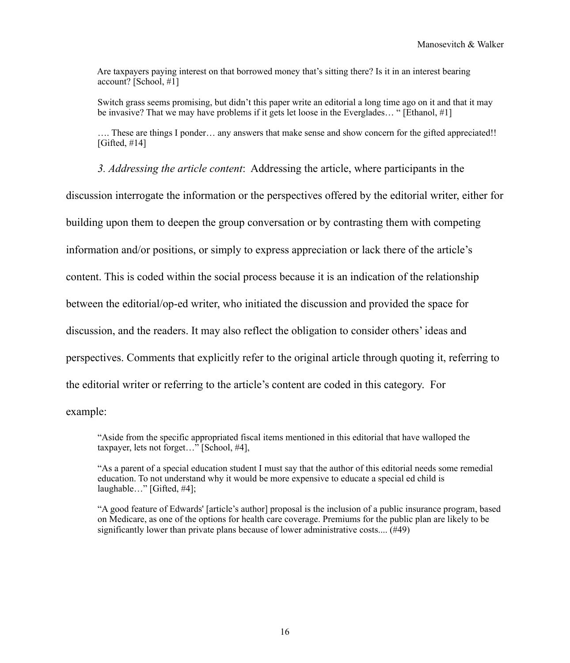Are taxpayers paying interest on that borrowed money that's sitting there? Is it in an interest bearing account? [School, #1]

 Switch grass seems promising, but didn't this paper write an editorial a long time ago on it and that it may be invasive? That we may have problems if it gets let loose in the Everglades… " [Ethanol, #1]

 …. These are things I ponder… any answers that make sense and show concern for the gifted appreciated!!  $[Gifted, #14]$ 

 *3. Addressing the article content*: Addressing the article, where participants in the

discussion interrogate the information or the perspectives offered by the editorial writer, either for

building upon them to deepen the group conversation or by contrasting them with competing

information and/or positions, or simply to express appreciation or lack there of the article's

content. This is coded within the social process because it is an indication of the relationship

between the editorial/op-ed writer, who initiated the discussion and provided the space for

discussion, and the readers. It may also reflect the obligation to consider others' ideas and

perspectives. Comments that explicitly refer to the original article through quoting it, referring to

the editorial writer or referring to the article's content are coded in this category. For

example:

 "Aside from the specific appropriated fiscal items mentioned in this editorial that have walloped the taxpayer, lets not forget…" [School, #4],

 "As a parent of a special education student I must say that the author of this editorial needs some remedial education. To not understand why it would be more expensive to educate a special ed child is laughable…" [Gifted, #4];

 "A good feature of Edwards' [article's author] proposal is the inclusion of a public insurance program, based on Medicare, as one of the options for health care coverage. Premiums for the public plan are likely to be significantly lower than private plans because of lower administrative costs.... (#49)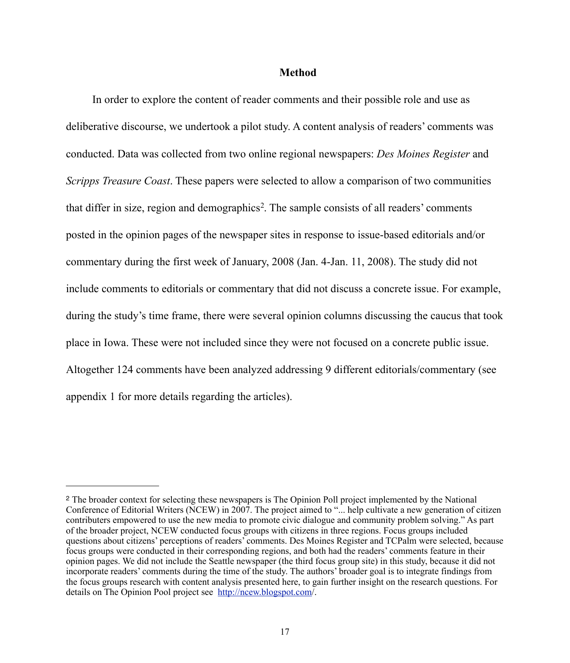#### **Method**

In order to explore the content of reader comments and their possible role and use as deliberative discourse, we undertook a pilot study. A content analysis of readers' comments was conducted. Data was collected from two online regional newspapers: *Des Moines Register* and *Scripps Treasure Coast*. These papers were selected to allow a comparison of two communities that differ in size, region and demographics<sup>2</sup>. The sample consists of all readers' comments posted in the opinion pages of the newspaper sites in response to issue-based editorials and/or commentary during the first week of January, 2008 (Jan. 4-Jan. 11, 2008). The study did not include comments to editorials or commentary that did not discuss a concrete issue. For example, during the study's time frame, there were several opinion columns discussing the caucus that took place in Iowa. These were not included since they were not focused on a concrete public issue. Altogether 124 comments have been analyzed addressing 9 different editorials/commentary (see appendix 1 for more details regarding the articles).

<span id="page-16-0"></span><sup>2</sup> The broader context for selecting these newspapers is The Opinion Poll project implemented by the National Conference of Editorial Writers (NCEW) in 2007. The project aimed to "... help cultivate a new generation of citizen contributers empowered to use the new media to promote civic dialogue and community problem solving." As part of the broader project, NCEW conducted focus groups with citizens in three regions. Focus groups included questions about citizens' perceptions of readers' comments. Des Moines Register and TCPalm were selected, because focus groups were conducted in their corresponding regions, and both had the readers' comments feature in their opinion pages. We did not include the Seattle newspaper (the third focus group site) in this study, because it did not incorporate readers' comments during the time of the study. The authors' broader goal is to integrate findings from the focus groups research with content analysis presented here, to gain further insight on the research questions. For details on The Opinion Pool project see [http://ncew.blogspot.com/](http://livepage.apple.com/).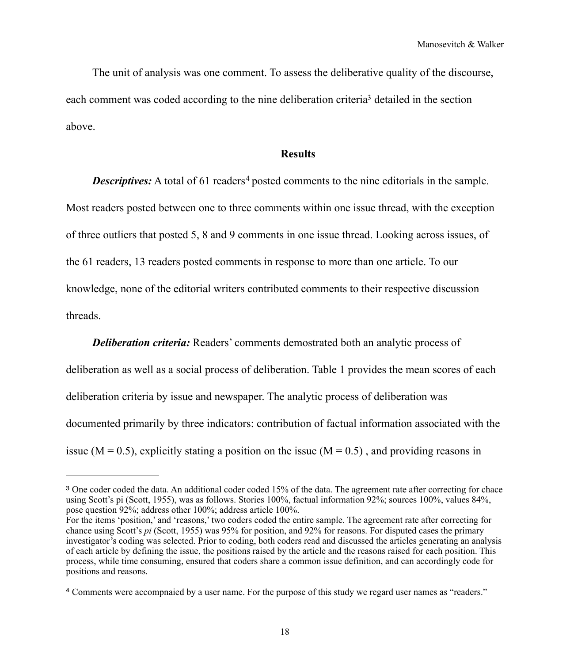The unit of analysis was one comment. To assess the deliberative quality of the discourse, each comment was coded according to the nine deliberation criteria<sup>3</sup> detailed in the section above.

#### **Results**

**Descriptives:** A total of 61 readers<sup>[4](#page-17-1)</sup> posted comments to the nine editorials in the sample. Most readers posted between one to three comments within one issue thread, with the exception of three outliers that posted 5, 8 and 9 comments in one issue thread. Looking across issues, of the 61 readers, 13 readers posted comments in response to more than one article. To our knowledge, none of the editorial writers contributed comments to their respective discussion threads.

*Deliberation criteria:* Readers' comments demostrated both an analytic process of deliberation as well as a social process of deliberation. Table 1 provides the mean scores of each deliberation criteria by issue and newspaper. The analytic process of deliberation was documented primarily by three indicators: contribution of factual information associated with the issue ( $M = 0.5$ ), explicitly stating a position on the issue ( $M = 0.5$ ), and providing reasons in

<span id="page-17-0"></span><sup>&</sup>lt;sup>3</sup> One coder coded the data. An additional coder coded 15% of the data. The agreement rate after correcting for chace using Scott's pi (Scott, 1955), was as follows. Stories 100%, factual information 92%; sources 100%, values 84%, pose question 92%; address other 100%; address article 100%.

For the items 'position,' and 'reasons,' two coders coded the entire sample. The agreement rate after correcting for chance using Scott's *pi* (Scott, 1955) was 95% for position, and 92% for reasons. For disputed cases the primary investigator's coding was selected. Prior to coding, both coders read and discussed the articles generating an analysis of each article by defining the issue, the positions raised by the article and the reasons raised for each position. This process, while time consuming, ensured that coders share a common issue definition, and can accordingly code for positions and reasons.

<span id="page-17-1"></span><sup>4</sup> Comments were accompnaied by a user name. For the purpose of this study we regard user names as "readers."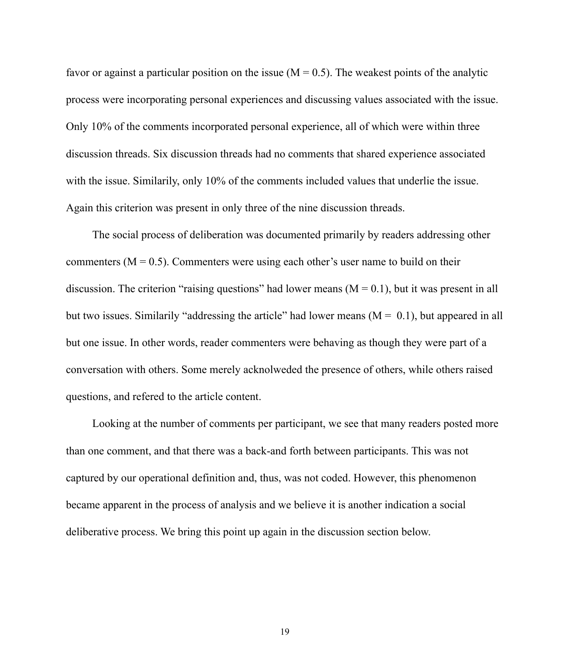favor or against a particular position on the issue  $(M = 0.5)$ . The weakest points of the analytic process were incorporating personal experiences and discussing values associated with the issue. Only 10% of the comments incorporated personal experience, all of which were within three discussion threads. Six discussion threads had no comments that shared experience associated with the issue. Similarily, only 10% of the comments included values that underlie the issue. Again this criterion was present in only three of the nine discussion threads.

The social process of deliberation was documented primarily by readers addressing other commenters ( $M = 0.5$ ). Commenters were using each other's user name to build on their discussion. The criterion "raising questions" had lower means  $(M = 0.1)$ , but it was present in all but two issues. Similarily "addressing the article" had lower means  $(M = 0.1)$ , but appeared in all but one issue. In other words, reader commenters were behaving as though they were part of a conversation with others. Some merely acknolweded the presence of others, while others raised questions, and refered to the article content.

Looking at the number of comments per participant, we see that many readers posted more than one comment, and that there was a back-and forth between participants. This was not captured by our operational definition and, thus, was not coded. However, this phenomenon became apparent in the process of analysis and we believe it is another indication a social deliberative process. We bring this point up again in the discussion section below.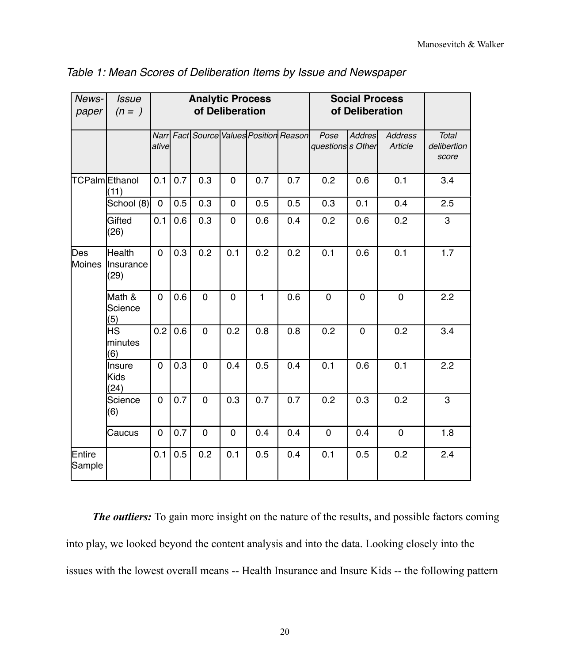| News-<br>paper   | <b>Issue</b><br>$(n=)$      | <b>Analytic Process</b><br>of Deliberation |     |                |             |              |                                         | <b>Social Process</b><br>of Deliberation |               |                           |                               |
|------------------|-----------------------------|--------------------------------------------|-----|----------------|-------------|--------------|-----------------------------------------|------------------------------------------|---------------|---------------------------|-------------------------------|
|                  |                             | ative                                      |     |                |             |              | Narr Fact Source Values Position Reason | Pose<br>questionss Other                 | <b>Addres</b> | <b>Address</b><br>Article | Total<br>delibertion<br>score |
|                  | TCPalmEthanol<br>(11)       | 0.1                                        | 0.7 | 0.3            | $\mathbf 0$ | 0.7          | 0.7                                     | 0.2                                      | 0.6           | 0.1                       | 3.4                           |
|                  | School (8)                  | $\mathbf 0$                                | 0.5 | 0.3            | $\mathbf 0$ | 0.5          | 0.5                                     | 0.3                                      | 0.1           | 0.4                       | 2.5                           |
|                  | Gifted<br>(26)              | 0.1                                        | 0.6 | 0.3            | $\mathbf 0$ | 0.6          | 0.4                                     | 0.2                                      | 0.6           | 0.2                       | 3                             |
| Des<br>Moines    | Health<br>Insurance<br>(29) | $\mathbf 0$                                | 0.3 | 0.2            | 0.1         | 0.2          | 0.2                                     | 0.1                                      | 0.6           | 0.1                       | 1.7                           |
|                  | Math &<br>Science<br>(5)    | $\mathbf 0$                                | 0.6 | $\overline{0}$ | $\mathbf 0$ | $\mathbf{1}$ | 0.6                                     | $\mathbf 0$                              | $\mathbf 0$   | $\mathbf 0$               | 2.2                           |
|                  | HS<br>minutes<br>(6)        | 0.2                                        | 0.6 | $\overline{0}$ | 0.2         | 0.8          | 0.8                                     | 0.2                                      | $\mathbf 0$   | 0.2                       | 3.4                           |
|                  | Insure<br>Kids<br>(24)      | $\mathbf 0$                                | 0.3 | $\overline{0}$ | 0.4         | 0.5          | 0.4                                     | 0.1                                      | 0.6           | 0.1                       | 2.2                           |
|                  | Science<br>(6)              | $\mathbf 0$                                | 0.7 | $\mathbf 0$    | 0.3         | 0.7          | 0.7                                     | 0.2                                      | 0.3           | 0.2                       | 3                             |
|                  | Caucus                      | $\mathbf 0$                                | 0.7 | $\mathbf 0$    | $\mathbf 0$ | 0.4          | 0.4                                     | $\mathbf 0$                              | 0.4           | $\mathbf 0$               | 1.8                           |
| Entire<br>Sample |                             | 0.1                                        | 0.5 | 0.2            | 0.1         | 0.5          | 0.4                                     | 0.1                                      | 0.5           | 0.2                       | 2.4                           |

*Table 1: Mean Scores of Deliberation Items by Issue and Newspaper*

*The outliers:* To gain more insight on the nature of the results, and possible factors coming into play, we looked beyond the content analysis and into the data. Looking closely into the issues with the lowest overall means -- Health Insurance and Insure Kids -- the following pattern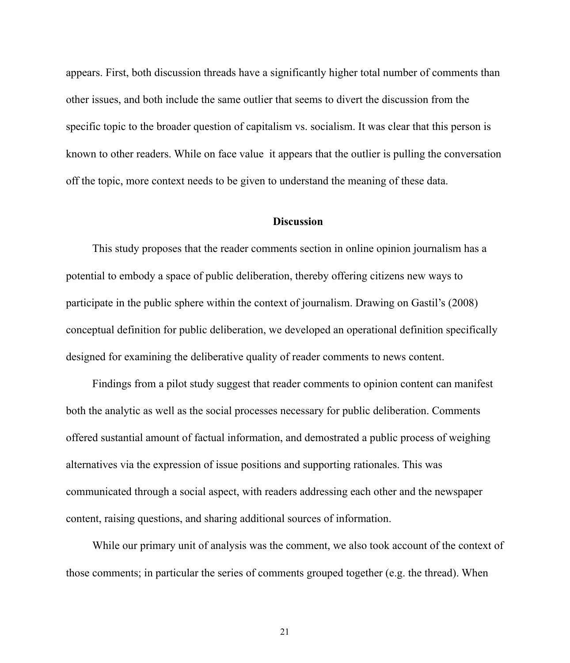appears. First, both discussion threads have a significantly higher total number of comments than other issues, and both include the same outlier that seems to divert the discussion from the specific topic to the broader question of capitalism vs. socialism. It was clear that this person is known to other readers. While on face value it appears that the outlier is pulling the conversation off the topic, more context needs to be given to understand the meaning of these data.

#### **Discussion**

This study proposes that the reader comments section in online opinion journalism has a potential to embody a space of public deliberation, thereby offering citizens new ways to participate in the public sphere within the context of journalism. Drawing on Gastil's (2008) conceptual definition for public deliberation, we developed an operational definition specifically designed for examining the deliberative quality of reader comments to news content.

Findings from a pilot study suggest that reader comments to opinion content can manifest both the analytic as well as the social processes necessary for public deliberation. Comments offered sustantial amount of factual information, and demostrated a public process of weighing alternatives via the expression of issue positions and supporting rationales. This was communicated through a social aspect, with readers addressing each other and the newspaper content, raising questions, and sharing additional sources of information.

While our primary unit of analysis was the comment, we also took account of the context of those comments; in particular the series of comments grouped together (e.g. the thread). When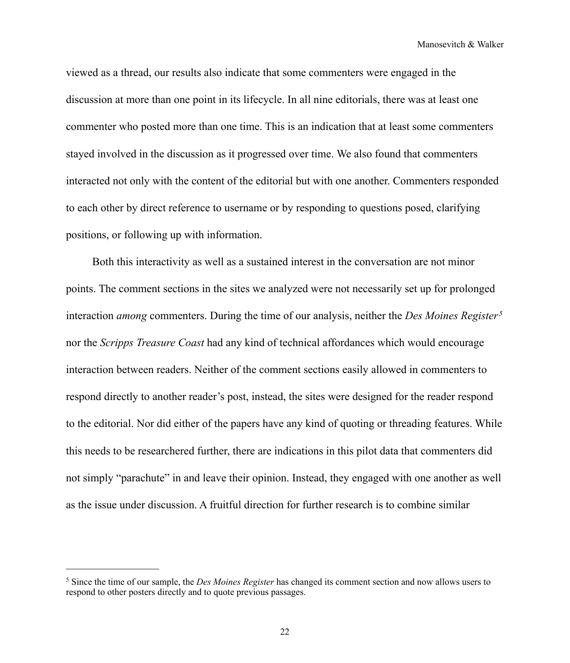Manosevitch & Walker

viewed as a thread, our results also indicate that some commenters were engaged in the discussion at more than one point in its lifecycle. In all nine editorials, there was at least one commenter who posted more than one time. This is an indication that at least some commenters stayed involved in the discussion as it progressed over time. We also found that commenters interacted not only with the content of the editorial but with one another. Commenters responded to each other by direct reference to username or by responding to questions posed, clarifying positions, or following up with information.

Both this interactivity as well as a sustained interest in the conversation are not minor points. The comment sections in the sites we analyzed were not necessarily set up for prolonged interaction *among* commenters. During the time of our analysis, neither the *Des Moines Register[5](#page-21-0)* nor the *Scripps Treasure Coast* had any kind of technical affordances which would encourage interaction between readers. Neither of the comment sections easily allowed in commenters to respond directly to another reader's post, instead, the sites were designed for the reader respond to the editorial. Nor did either of the papers have any kind of quoting or threading features. While this needs to be researchered further, there are indications in this pilot data that commenters did not simply "parachute" in and leave their opinion. Instead, they engaged with one another as well as the issue under discussion. A fruitful direction for further research is to combine similar

<span id="page-21-0"></span><sup>5</sup> Since the time of our sample, the *Des Moines Register* has changed its comment section and now allows users to respond to other posters directly and to quote previous passages.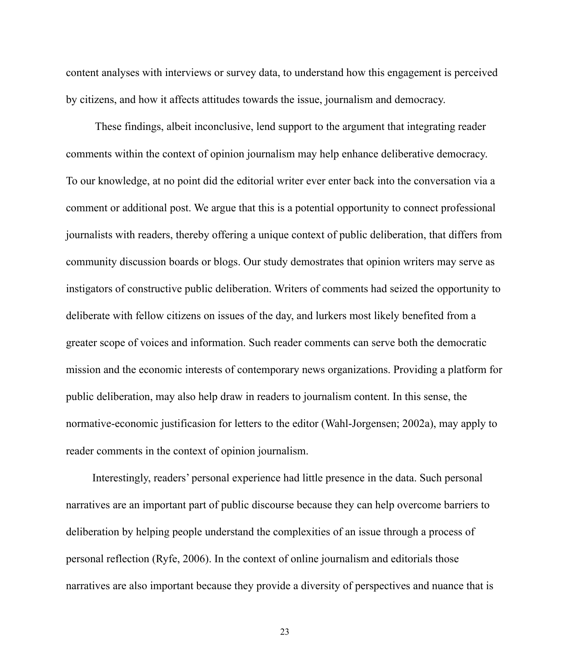content analyses with interviews or survey data, to understand how this engagement is perceived by citizens, and how it affects attitudes towards the issue, journalism and democracy.

 These findings, albeit inconclusive, lend support to the argument that integrating reader comments within the context of opinion journalism may help enhance deliberative democracy. To our knowledge, at no point did the editorial writer ever enter back into the conversation via a comment or additional post. We argue that this is a potential opportunity to connect professional journalists with readers, thereby offering a unique context of public deliberation, that differs from community discussion boards or blogs. Our study demostrates that opinion writers may serve as instigators of constructive public deliberation. Writers of comments had seized the opportunity to deliberate with fellow citizens on issues of the day, and lurkers most likely benefited from a greater scope of voices and information. Such reader comments can serve both the democratic mission and the economic interests of contemporary news organizations. Providing a platform for public deliberation, may also help draw in readers to journalism content. In this sense, the normative-economic justificasion for letters to the editor (Wahl-Jorgensen; 2002a), may apply to reader comments in the context of opinion journalism.

Interestingly, readers' personal experience had little presence in the data. Such personal narratives are an important part of public discourse because they can help overcome barriers to deliberation by helping people understand the complexities of an issue through a process of personal reflection (Ryfe, 2006). In the context of online journalism and editorials those narratives are also important because they provide a diversity of perspectives and nuance that is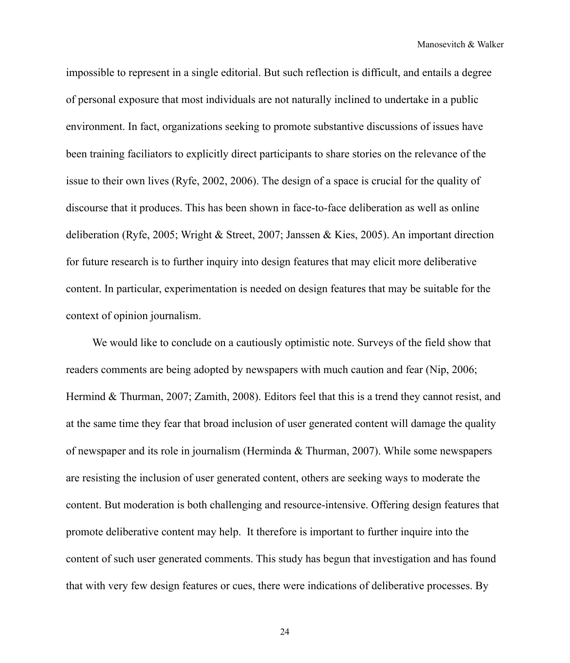impossible to represent in a single editorial. But such reflection is difficult, and entails a degree of personal exposure that most individuals are not naturally inclined to undertake in a public environment. In fact, organizations seeking to promote substantive discussions of issues have been training faciliators to explicitly direct participants to share stories on the relevance of the issue to their own lives (Ryfe, 2002, 2006). The design of a space is crucial for the quality of discourse that it produces. This has been shown in face-to-face deliberation as well as online deliberation (Ryfe, 2005; Wright & Street, 2007; Janssen & Kies, 2005). An important direction for future research is to further inquiry into design features that may elicit more deliberative content. In particular, experimentation is needed on design features that may be suitable for the context of opinion journalism.

We would like to conclude on a cautiously optimistic note. Surveys of the field show that readers comments are being adopted by newspapers with much caution and fear (Nip, 2006; Hermind & Thurman, 2007; Zamith, 2008). Editors feel that this is a trend they cannot resist, and at the same time they fear that broad inclusion of user generated content will damage the quality of newspaper and its role in journalism (Herminda & Thurman, 2007). While some newspapers are resisting the inclusion of user generated content, others are seeking ways to moderate the content. But moderation is both challenging and resource-intensive. Offering design features that promote deliberative content may help. It therefore is important to further inquire into the content of such user generated comments. This study has begun that investigation and has found that with very few design features or cues, there were indications of deliberative processes. By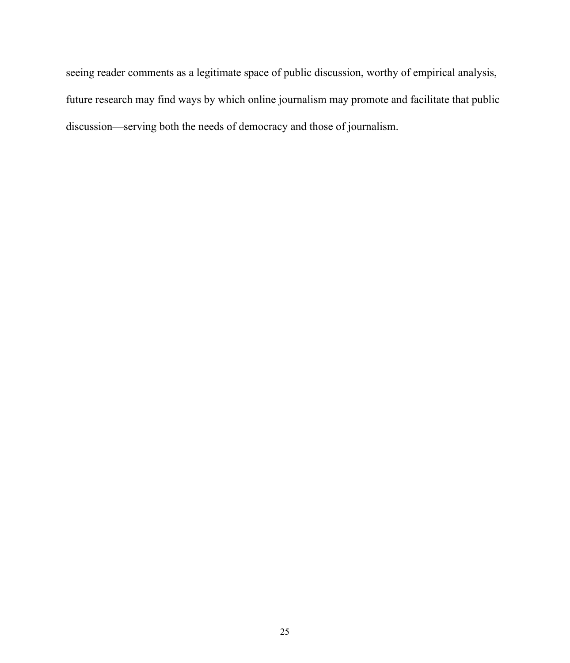seeing reader comments as a legitimate space of public discussion, worthy of empirical analysis, future research may find ways by which online journalism may promote and facilitate that public discussion—serving both the needs of democracy and those of journalism.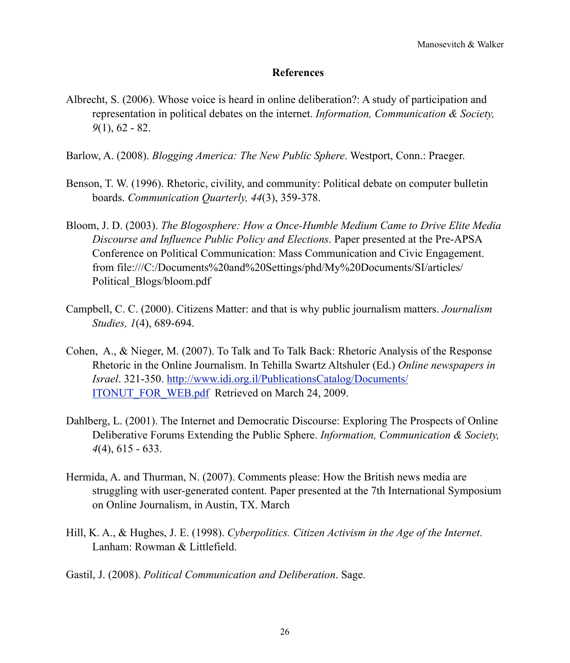## **References**

- Albrecht, S. (2006). Whose voice is heard in online deliberation?: A study of participation and representation in political debates on the internet. *Information, Communication & Society, 9*(1), 62 - 82.
- Barlow, A. (2008). *Blogging America: The New Public Sphere*. Westport, Conn.: Praeger.
- Benson, T. W. (1996). Rhetoric, civility, and community: Political debate on computer bulletin boards. *Communication Quarterly, 44*(3), 359-378.
- Bloom, J. D. (2003). *The Blogosphere: How a Once-Humble Medium Came to Drive Elite Media Discourse and Influence Public Policy and Elections*. Paper presented at the Pre-APSA Conference on Political Communication: Mass Communication and Civic Engagement. from file:///C:/Documents%20and%20Settings/phd/My%20Documents/SI/articles/ Political\_Blogs/bloom.pdf
- Campbell, C. C. (2000). Citizens Matter: and that is why public journalism matters. *Journalism Studies, 1*(4), 689-694.
- Cohen, A., & Nieger, M. (2007). To Talk and To Talk Back: Rhetoric Analysis of the Response Rhetoric in the Online Journalism. In Tehilla Swartz Altshuler (Ed.) *Online newspapers in Israel*. 321-350. [http://www.idi.org.il/PublicationsCatalog/Documents/](http://livepage.apple.com/) [ITONUT\\_FOR\\_WEB.pdf](http://livepage.apple.com/) Retrieved on March 24, 2009.
- Dahlberg, L. (2001). The Internet and Democratic Discourse: Exploring The Prospects of Online Deliberative Forums Extending the Public Sphere. *Information, Communication & Society, 4*(4), 615 - 633.
- Hermida, A. and Thurman, N. (2007). Comments please: How the British news media are struggling with user-generated content. Paper presented at the 7th International Symposium on Online Journalism, in Austin, TX. March
- Hill, K. A., & Hughes, J. E. (1998). *Cyberpolitics. Citizen Activism in the Age of the Internet*. Lanham: Rowman & Littlefield.
- Gastil, J. (2008). *Political Communication and Deliberation*. Sage.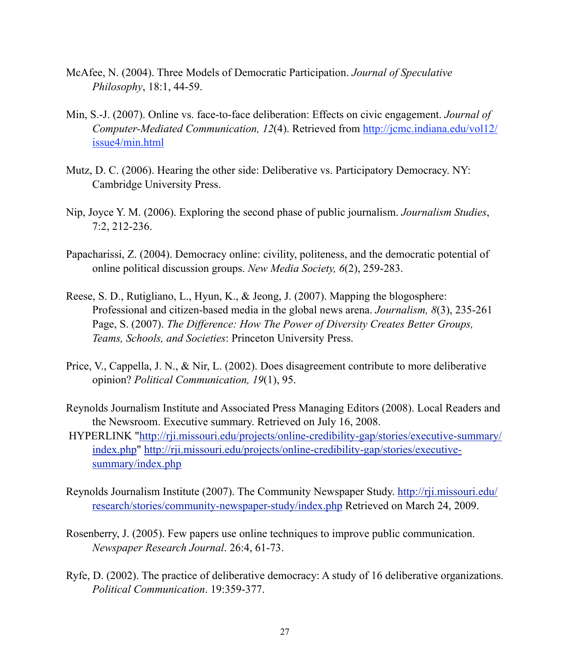- McAfee, N. (2004). Three Models of Democratic Participation. *Journal of Speculative Philosophy*, 18:1, 44-59.
- Min, S.-J. (2007). Online vs. face-to-face deliberation: Effects on civic engagement. *Journal of Computer-Mediated Communication, 12*(4). Retrieved from [http://jcmc.indiana.edu/vol12/](http://jcmc.indiana.edu/vol12/issue4/min.html) [issue4/min.html](http://jcmc.indiana.edu/vol12/issue4/min.html)
- Mutz, D. C. (2006). Hearing the other side: Deliberative vs. Participatory Democracy. NY: Cambridge University Press.
- Nip, Joyce Y. M. (2006). Exploring the second phase of public journalism. *Journalism Studies*, 7:2, 212-236.
- Papacharissi, Z. (2004). Democracy online: civility, politeness, and the democratic potential of online political discussion groups. *New Media Society, 6*(2), 259-283.
- Reese, S. D., Rutigliano, L., Hyun, K., & Jeong, J. (2007). Mapping the blogosphere: Professional and citizen-based media in the global news arena. *Journalism, 8*(3), 235-261 Page, S. (2007). *The Difference: How The Power of Diversity Creates Better Groups, Teams, Schools, and Societies*: Princeton University Press.
- Price, V., Cappella, J. N., & Nir, L. (2002). Does disagreement contribute to more deliberative opinion? *Political Communication, 19*(1), 95.
- Reynolds Journalism Institute and Associated Press Managing Editors (2008). Local Readers and the Newsroom. Executive summary. Retrieved on July 16, 2008.
- HYPERLINK "[http://rji.missouri.edu/projects/online-credibility-gap/stories/executive-summary/](http://livepage.apple.com/) [index.php"](http://livepage.apple.com/) [http://rji.missouri.edu/projects/online-credibility-gap/stories/executive](http://livepage.apple.com/)[summary/index.php](http://livepage.apple.com/)
- Reynolds Journalism Institute (2007). The Community Newspaper Study. [http://rji.missouri.edu/](http://livepage.apple.com/) [research/stories/community-newspaper-study/index.php](http://livepage.apple.com/) Retrieved on March 24, 2009.
- Rosenberry, J. (2005). Few papers use online techniques to improve public communication. *Newspaper Research Journal*. 26:4, 61-73.
- Ryfe, D. (2002). The practice of deliberative democracy: A study of 16 deliberative organizations. *Political Communication*. 19:359-377.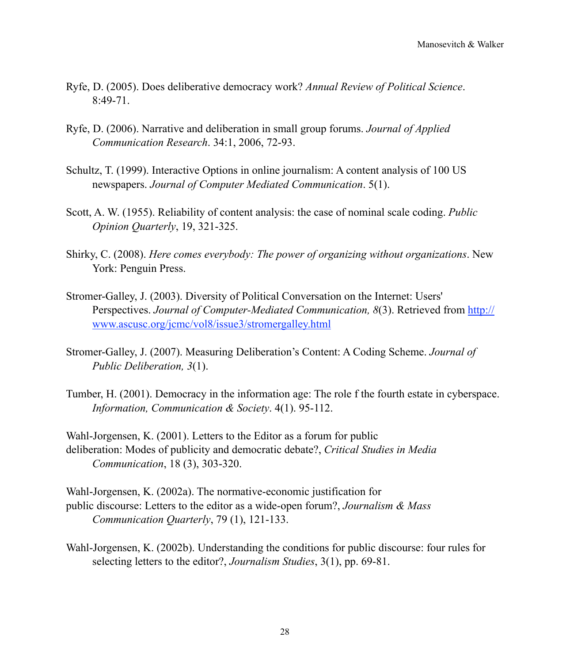- Ryfe, D. (2005). Does deliberative democracy work? *Annual Review of Political Science*.  $8.49 - 71$
- Ryfe, D. (2006). Narrative and deliberation in small group forums. *Journal of Applied Communication Research*. 34:1, 2006, 72-93.
- Schultz, T. (1999). Interactive Options in online journalism: A content analysis of 100 US newspapers. *Journal of Computer Mediated Communication*. 5(1).
- Scott, A. W. (1955). Reliability of content analysis: the case of nominal scale coding. *Public Opinion Quarterly*, 19, 321-325.
- Shirky, C. (2008). *Here comes everybody: The power of organizing without organizations*. New York: Penguin Press.
- Stromer-Galley, J. (2003). Diversity of Political Conversation on the Internet: Users' Perspectives. *Journal of Computer-Mediated Communication, 8*(3). Retrieved from [http://](http://www.ascusc.org/jcmc/vol8/issue3/stromergalley.html) [www.ascusc.org/jcmc/vol8/issue3/stromergalley.html](http://www.ascusc.org/jcmc/vol8/issue3/stromergalley.html)
- Stromer-Galley, J. (2007). Measuring Deliberation's Content: A Coding Scheme. *Journal of Public Deliberation, 3*(1).
- Tumber, H. (2001). Democracy in the information age: The role f the fourth estate in cyberspace. *Information, Communication & Society*. 4(1). 95-112.

Wahl-Jorgensen, K. (2001). Letters to the Editor as a forum for public deliberation: Modes of publicity and democratic debate?, *Critical Studies in Media Communication*, 18 (3), 303-320.

Wahl-Jorgensen, K. (2002a). The normative-economic justification for public discourse: Letters to the editor as a wide-open forum?, *Journalism & Mass Communication Quarterly*, 79 (1), 121-133.

Wahl-Jorgensen, K. (2002b). Understanding the conditions for public discourse: four rules for selecting letters to the editor?, *Journalism Studies*, 3(1), pp. 69-81.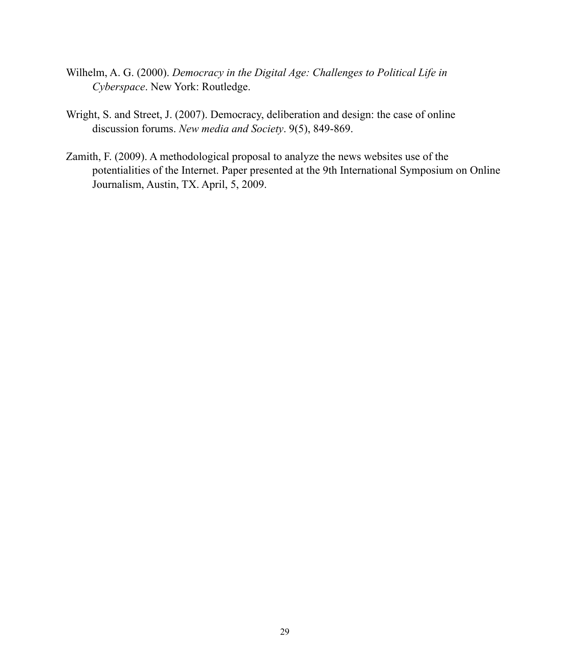- Wilhelm, A. G. (2000). *Democracy in the Digital Age: Challenges to Political Life in Cyberspace*. New York: Routledge.
- Wright, S. and Street, J. (2007). Democracy, deliberation and design: the case of online discussion forums. *New media and Society*. 9(5), 849-869.
- Zamith, F. (2009). A methodological proposal to analyze the news websites use of the potentialities of the Internet. Paper presented at the 9th International Symposium on Online Journalism, Austin, TX. April, 5, 2009.